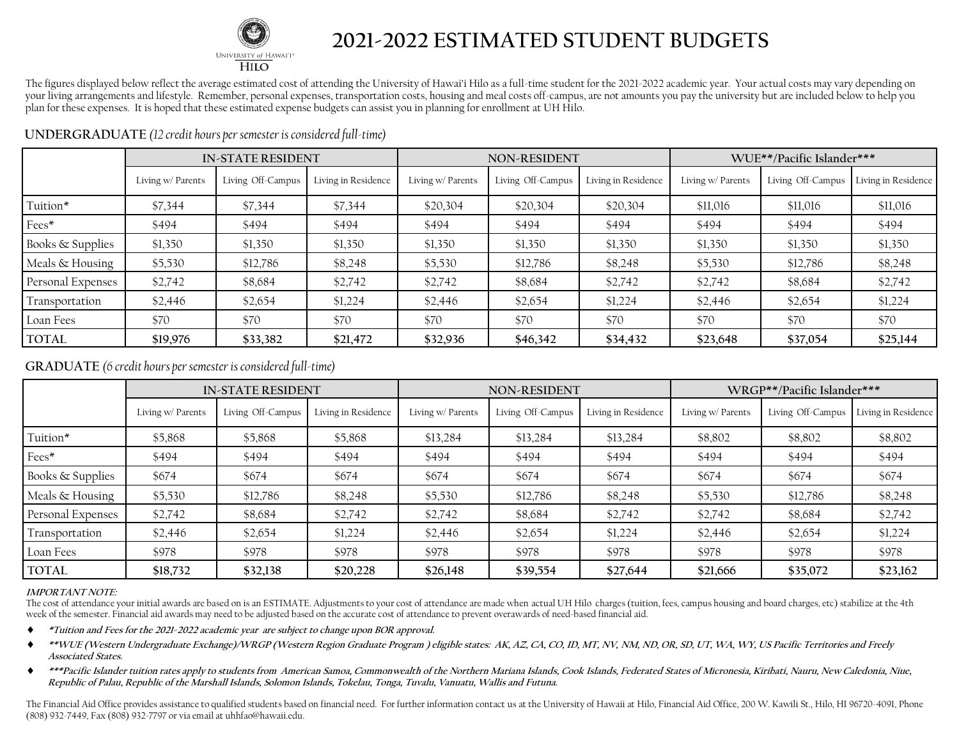

### **2021-2022 ESTIMATED STUDENT BUDGETS**

The figures displayed below reflect the average estimated cost of attending the University of Hawai'i Hilo as a full-time student for the 2021-2022 academic year. Your actual costs may vary depending on your living arrangements and lifestyle. Remember, personal expenses, transportation costs, housing and meal costs off-campus, are not amounts you pay the university but are included below to help you plan for these expenses. It is hoped that these estimated expense budgets can assist you in planning for enrollment at UH Hilo.

|                   | <b>IN-STATE RESIDENT</b> |                   |                     | <b>NON-RESIDENT</b> |                   |                     | WUE**/Pacific Islander*** |                   |                     |
|-------------------|--------------------------|-------------------|---------------------|---------------------|-------------------|---------------------|---------------------------|-------------------|---------------------|
|                   | Living w/ Parents        | Living Off-Campus | Living in Residence | Living w/ Parents   | Living Off-Campus | Living in Residence | Living w/ Parents         | Living Off-Campus | Living in Residence |
| Tuition*          | \$7,344                  | \$7,344           | \$7,344             | \$20,304            | \$20,304          | \$20,304            | \$11,016                  | \$11,016          | \$11,016            |
| Fees*             | \$494                    | \$494             | \$494               | \$494               | \$494             | \$494               | \$494                     | \$494             | \$494               |
| Books & Supplies  | \$1,350                  | \$1,350           | \$1,350             | \$1,350             | \$1,350           | \$1,350             | \$1,350                   | \$1,350           | \$1,350             |
| Meals & Housing   | \$5,530                  | \$12,786          | \$8,248             | \$5,530             | \$12,786          | \$8,248             | \$5,530                   | \$12,786          | \$8,248             |
| Personal Expenses | \$2,742                  | \$8,684           | \$2,742             | \$2,742             | \$8,684           | \$2,742             | \$2,742                   | \$8,684           | \$2,742             |
| Transportation    | \$2,446                  | \$2,654           | \$1,224             | \$2,446             | \$2,654           | \$1,224             | \$2,446                   | \$2,654           | \$1,224             |
| Loan Fees         | \$70                     | \$70              | \$70                | \$70                | \$70              | \$70                | \$70                      | \$70              | \$70                |
| <b>TOTAL</b>      | \$19,976                 | \$33,382          | \$21,472            | \$32,936            | \$46,342          | \$34,432            | \$23,648                  | \$37,054          | \$25,144            |

**UNDERGRADUATE** *(12 credit hours per semester is considered full-time)* 

### **GRADUATE** *(6 credit hours per semester is considered full-time)*

|                             | <b>IN-STATE RESIDENT</b> |                   |                     | <b>NON-RESIDENT</b> |                   |                     | WRGP**/Pacific Islander*** |                   |                     |
|-----------------------------|--------------------------|-------------------|---------------------|---------------------|-------------------|---------------------|----------------------------|-------------------|---------------------|
|                             | Living w/ Parents        | Living Off-Campus | Living in Residence | Living w/ Parents   | Living Off-Campus | Living in Residence | Living w/ Parents          | Living Off-Campus | Living in Residence |
| Tuition*                    | \$5,868                  | \$5,868           | \$5,868             | \$13,284            | \$13,284          | \$13,284            | \$8,802                    | \$8,802           | \$8,802             |
| Fees*                       | \$494                    | \$494             | \$494               | \$494               | \$494             | \$494               | \$494                      | \$494             | \$494               |
| <b>Books &amp; Supplies</b> | \$674                    | \$674             | \$674               | \$674               | \$674             | \$674               | \$674                      | \$674             | \$674               |
| Meals & Housing             | \$5,530                  | \$12,786          | \$8,248             | \$5,530             | \$12,786          | \$8,248             | \$5,530                    | \$12,786          | \$8,248             |
| Personal Expenses           | \$2,742                  | \$8,684           | \$2,742             | \$2,742             | \$8,684           | \$2,742             | \$2,742                    | \$8,684           | \$2,742             |
| Transportation              | \$2,446                  | \$2,654           | \$1,224             | \$2,446             | \$2,654           | \$1,224             | \$2,446                    | \$2,654           | \$1,224             |
| Loan Fees                   | \$978                    | \$978             | \$978               | \$978               | \$978             | \$978               | \$978                      | \$978             | \$978               |
| <b>TOTAL</b>                | \$18,732                 | \$32,138          | \$20,228            | \$26,148            | \$39,554          | \$27,644            | \$21,666                   | \$35,072          | \$23,162            |

#### **IMPORTANT NOTE:**

The cost of attendance your initial awards are based on is an ESTIMATE. Adjustments to your cost of attendance are made when actual UH Hilo charges (tuition, fees, campus housing and board charges, etc) stabilize at the 4th week of the semester. Financial aid awards may need to be adjusted based on the accurate cost of attendance to prevent overawards of need-based financial aid.

- **\*Tuition and Fees for the 2021-2022 academic year are subject to change upon BOR approval.**
- **\*\*WUE (Western Undergraduate Exchange)/WRGP (Western Region Graduate Program ) eligible states: AK, AZ, CA, CO, ID, MT, NV, NM, ND, OR, SD, UT, WA, WY, US Pacific Territories and Freely Associated States.**
- **\*\*\*Pacific Islander tuition rates apply to students from American Samoa, Commonwealth of the Northern Mariana Islands, Cook Islands, Federated States of Micronesia, Kiribati, Nauru, New Caledonia, Niue, Republic of Palau, Republic of the Marshall Islands, Solomon Islands, Tokelau, Tonga, Tuvalu, Vanuatu, Wallis and Futuna.**

The Financial Aid Office provides assistance to qualified students based on financial need. For further information contact us at the University of Hawaii at Hilo, Financial Aid Office, 200 W. Kawili St., Hilo, HI 96720-40 (808) 932-7449, Fax (808) 932-7797 or via email at uhhfao@hawaii.edu.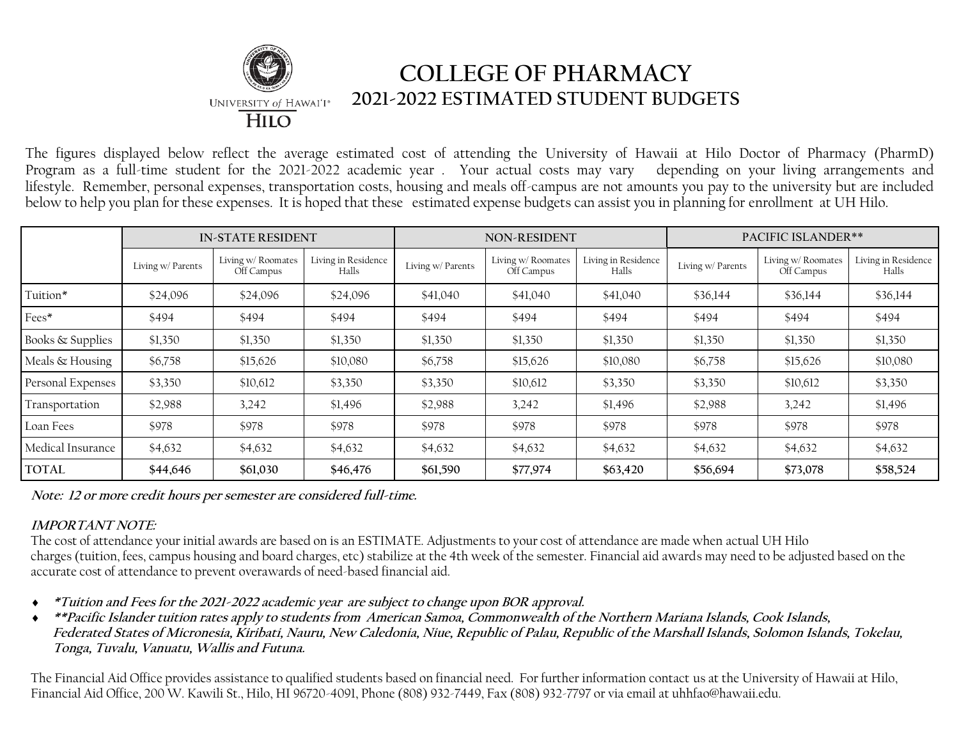

## **COLLEGE OF PHARMACY 2021-2022 ESTIMATED STUDENT BUDGETS**

The figures displayed below reflect the average estimated cost of attending the University of Hawaii at Hilo Doctor of Pharmacy (PharmD) Program as a full-time student for the 2021-2022 academic year . Your actual costs may vary depending on your living arrangements and lifestyle. Remember, personal expenses, transportation costs, housing and meals off-campus are not amounts you pay to the university but are included below to help you plan for these expenses. It is hoped that these estimated expense budgets can assist you in planning for enrollment at UH Hilo.

|                             | <b>IN-STATE RESIDENT</b> |                                  |                              | <b>NON-RESIDENT</b> |                                  |                              | <b>PACIFIC ISLANDER**</b> |                                  |                              |
|-----------------------------|--------------------------|----------------------------------|------------------------------|---------------------|----------------------------------|------------------------------|---------------------------|----------------------------------|------------------------------|
|                             | Living w/ Parents        | Living w/ Roomates<br>Off Campus | Living in Residence<br>Halls | Living w/ Parents   | Living w/ Roomates<br>Off Campus | Living in Residence<br>Halls | Living w/ Parents         | Living w/ Roomates<br>Off Campus | Living in Residence<br>Halls |
| Tuition*                    | \$24,096                 | \$24,096                         | \$24,096                     | \$41,040            | \$41,040                         | \$41,040                     | \$36,144                  | \$36,144                         | \$36,144                     |
| Fees*                       | \$494                    | \$494                            | \$494                        | \$494               | \$494                            | \$494                        | \$494                     | \$494                            | \$494                        |
| <b>Books &amp; Supplies</b> | \$1,350                  | \$1,350                          | \$1,350                      | \$1,350             | \$1,350                          | \$1,350                      | \$1,350                   | \$1,350                          | \$1,350                      |
| Meals & Housing             | \$6,758                  | \$15,626                         | \$10,080                     | \$6,758             | \$15,626                         | \$10,080                     | \$6,758                   | \$15,626                         | \$10,080                     |
| Personal Expenses           | \$3,350                  | \$10,612                         | \$3,350                      | \$3,350             | \$10,612                         | \$3,350                      | \$3,350                   | \$10,612                         | \$3,350                      |
| Transportation              | \$2,988                  | 3,242                            | \$1,496                      | \$2,988             | 3,242                            | \$1,496                      | \$2,988                   | 3,242                            | \$1,496                      |
| Loan Fees                   | \$978                    | \$978                            | \$978                        | \$978               | \$978                            | \$978                        | \$978                     | \$978                            | \$978                        |
| Medical Insurance           | \$4,632                  | \$4,632                          | \$4,632                      | \$4,632             | \$4,632                          | \$4,632                      | \$4,632                   | \$4,632                          | \$4,632                      |
| <b>TOTAL</b>                | \$44,646                 | \$61,030                         | \$46,476                     | \$61,590            | \$77,974                         | \$63,420                     | \$56,694                  | \$73,078                         | \$58,524                     |

**Note: 12 or more credit hours per semester are considered full-time.**

### **IMPORTANT NOTE:**

The cost of attendance your initial awards are based on is an ESTIMATE. Adjustments to your cost of attendance are made when actual UH Hilo charges (tuition, fees, campus housing and board charges, etc) stabilize at the 4th week of the semester. Financial aid awards may need to be adjusted based on the accurate cost of attendance to prevent overawards of need-based financial aid.

- **\*Tuition and Fees for the 2021-2022 academic year are subject to change upon BOR approval.**
- **\*\*Pacific Islander tuition rates apply to students from American Samoa, Commonwealth of the Northern Mariana Islands, Cook Islands, Federated States of Micronesia, Kiribati, Nauru, New Caledonia, Niue, Republic of Palau, Republic of the Marshall Islands, Solomon Islands, Tokelau, Tonga, Tuvalu, Vanuatu, Wallis and Futuna.**

The Financial Aid Office provides assistance to qualified students based on financial need. For further information contact us at the University of Hawaii at Hilo, Financial Aid Office, 200 W. Kawili St., Hilo, HI 96720-4091, Phone (808) 932-7449, Fax (808) 932-7797 or via email at uhhfao@hawaii.edu.